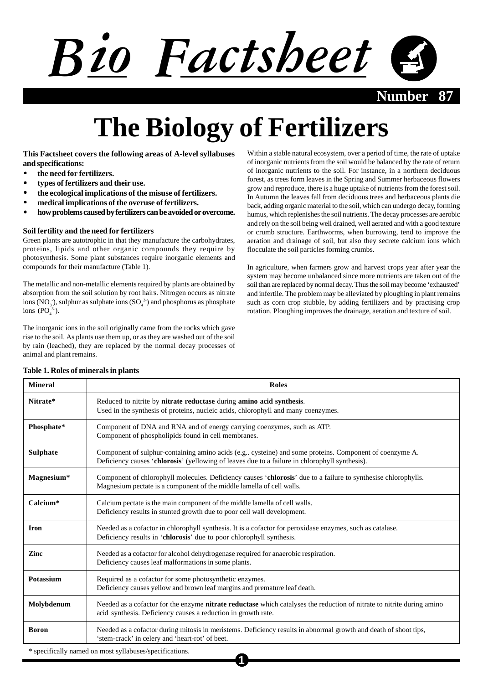# Bio Factsheet

**Number** 

## **The Biology of Fertilizers**

**This Factsheet covers the following areas of A-level syllabuses and specifications:**

- **the need for fertilizers.**
- **types of fertilizers and their use.**
- **the ecological implications of the misuse of fertilizers.**
- **medical implications of the overuse of fertilizers.**
- **how problems caused by fertilizers can be avoided or overcome.**

### **Soil fertility and the need for fertilizers**

Green plants are autotrophic in that they manufacture the carbohydrates, proteins, lipids and other organic compounds they require by photosynthesis. Some plant substances require inorganic elements and compounds for their manufacture (Table 1).

The metallic and non-metallic elements required by plants are obtained by absorption from the soil solution by root hairs. Nitrogen occurs as nitrate ions (NO<sub>3</sub><sup>-</sup>), sulphur as sulphate ions (SO<sub>4</sub><sup>2</sup>) and phosphorus as phosphate ions  $(PO<sub>4</sub><sup>3-</sup>).$ 

The inorganic ions in the soil originally came from the rocks which gave rise to the soil. As plants use them up, or as they are washed out of the soil by rain (leached), they are replaced by the normal decay processes of animal and plant remains.

Within a stable natural ecosystem, over a period of time, the rate of uptake of inorganic nutrients from the soil would be balanced by the rate of return of inorganic nutrients to the soil. For instance, in a northern deciduous forest, as trees form leaves in the Spring and Summer herbaceous flowers grow and reproduce, there is a huge uptake of nutrients from the forest soil. In Autumn the leaves fall from deciduous trees and herbaceous plants die back, adding organic material to the soil, which can undergo decay, forming humus, which replenishes the soil nutrients. The decay processes are aerobic and rely on the soil being well drained, well aerated and with a good texture or crumb structure. Earthworms, when burrowing, tend to improve the aeration and drainage of soil, but also they secrete calcium ions which flocculate the soil particles forming crumbs.

In agriculture, when farmers grow and harvest crops year after year the system may become unbalanced since more nutrients are taken out of the soil than are replaced by normal decay. Thus the soil may become 'exhausted' and infertile. The problem may be alleviated by ploughing in plant remains such as corn crop stubble, by adding fertilizers and by practising crop rotation. Ploughing improves the drainage, aeration and texture of soil.

| <b>Mineral</b>                                         | <b>Roles</b>                                                                                                                                                                                               |
|--------------------------------------------------------|------------------------------------------------------------------------------------------------------------------------------------------------------------------------------------------------------------|
| Nitrate*                                               | Reduced to nitrite by nitrate reductase during amino acid synthesis.<br>Used in the synthesis of proteins, nucleic acids, chlorophyll and many coenzymes.                                                  |
| Phosphate*                                             | Component of DNA and RNA and of energy carrying coenzymes, such as ATP.<br>Component of phospholipids found in cell membranes.                                                                             |
| <b>Sulphate</b>                                        | Component of sulphur-containing amino acids (e.g., cysteine) and some proteins. Component of coenzyme A.<br>Deficiency causes 'chlorosis' (yellowing of leaves due to a failure in chlorophyll synthesis). |
| Magnesium*                                             | Component of chlorophyll molecules. Deficiency causes 'chlorosis' due to a failure to synthesise chlorophylls.<br>Magnesium pectate is a component of the middle lamella of cell walls.                    |
| Calcium*                                               | Calcium pectate is the main component of the middle lamella of cell walls.<br>Deficiency results in stunted growth due to poor cell wall development.                                                      |
| <b>Iron</b>                                            | Needed as a cofactor in chlorophyll synthesis. It is a cofactor for peroxidase enzymes, such as catalase.<br>Deficiency results in 'chlorosis' due to poor chlorophyll synthesis.                          |
| Zinc                                                   | Needed as a cofactor for alcohol dehydrogenase required for anaerobic respiration.<br>Deficiency causes leaf malformations in some plants.                                                                 |
| Potassium                                              | Required as a cofactor for some photosynthetic enzymes.<br>Deficiency causes yellow and brown leaf margins and premature leaf death.                                                                       |
| Molybdenum                                             | Needed as a cofactor for the enzyme nitrate reductase which catalyses the reduction of nitrate to nitrite during amino<br>acid synthesis. Deficiency causes a reduction in growth rate.                    |
| <b>Boron</b>                                           | Needed as a cofactor during mitosis in meristems. Deficiency results in abnormal growth and death of shoot tips,<br>'stem-crack' in celery and 'heart-rot' of beet.                                        |
| * specifically named on most syllabuses/specifications |                                                                                                                                                                                                            |

**1**

#### **Table 1. Roles of minerals in plants**

<sup>\*</sup> specifically named on most syllabuses/specifications.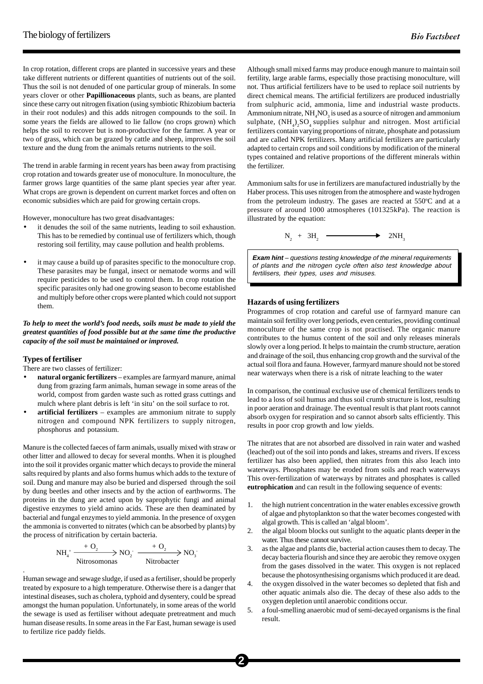In crop rotation, different crops are planted in successive years and these take different nutrients or different quantities of nutrients out of the soil. Thus the soil is not denuded of one particular group of minerals. In some years clover or other **Papillionaceous** plants, such as beans, are planted since these carry out nitrogen fixation (using symbiotic Rhizobium bacteria in their root nodules) and this adds nitrogen compounds to the soil. In some years the fields are allowed to lie fallow (no crops grown) which helps the soil to recover but is non-productive for the farmer. A year or two of grass, which can be grazed by cattle and sheep, improves the soil texture and the dung from the animals returns nutrients to the soil.

The trend in arable farming in recent years has been away from practising crop rotation and towards greater use of monoculture. In monoculture, the farmer grows large quantities of the same plant species year after year. What crops are grown is dependent on current market forces and often on economic subsidies which are paid for growing certain crops.

However, monoculture has two great disadvantages:

- it denudes the soil of the same nutrients, leading to soil exhaustion. This has to be remedied by continual use of fertilizers which, though restoring soil fertility, may cause pollution and health problems.
- it may cause a build up of parasites specific to the monoculture crop. These parasites may be fungal, insect or nematode worms and will require pesticides to be used to control them. In crop rotation the specific parasites only had one growing season to become established and multiply before other crops were planted which could not support them.

#### *To help to meet the world's food needs, soils must be made to yield the greatest quantities of food possible but at the same time the productive capacity of the soil must be maintained or improved.*

#### **Types of fertiliser**

.

There are two classes of fertilizer:

- **natural organic fertilizers** examples are farmyard manure, animal dung from grazing farm animals, human sewage in some areas of the world, compost from garden waste such as rotted grass cuttings and mulch where plant debris is left 'in situ' on the soil surface to rot.
- **artificial fertilizers** examples are ammonium nitrate to supply nitrogen and compound NPK fertilizers to supply nitrogen, phosphorus and potassium.

Manure is the collected faeces of farm animals, usually mixed with straw or other litter and allowed to decay for several months. When it is ploughed into the soil it provides organic matter which decays to provide the mineral salts required by plants and also forms humus which adds to the texture of soil. Dung and manure may also be buried and dispersed through the soil by dung beetles and other insects and by the action of earthworms. The proteins in the dung are acted upon by saprophytic fungi and animal digestive enzymes to yield amino acids. These are then deaminated by bacterial and fungal enzymes to yield ammonia. In the presence of oxygen the ammonia is converted to nitrates (which can be absorbed by plants) by the process of nitrification by certain bacteria.

$$
NH_{4}^+ \xrightarrow{\begin{array}{c} + \mathcal{O}_2 \\ \hline \text{Nitrosomonas} \end{array}} NO_2^- \xrightarrow{\begin{array}{c} + \mathcal{O}_2 \\ \hline \text{Nitrobacter} \end{array}} NO_3^-
$$

Human sewage and sewage sludge, if used as a fertiliser, should be properly treated by exposure to a high temperature. Otherwise there is a danger that intestinal diseases, such as cholera, typhoid and dysentery, could be spread amongst the human population. Unfortunately, in some areas of the world the sewage is used as fertiliser without adequate pretreatment and much human disease results. In some areas in the Far East, human sewage is used to fertilize rice paddy fields.

Although small mixed farms may produce enough manure to maintain soil fertility, large arable farms, especially those practising monoculture, will not. Thus artificial fertilizers have to be used to replace soil nutrients by direct chemical means. The artificial fertilizers are produced industrially from sulphuric acid, ammonia, lime and industrial waste products. Ammonium nitrate,  $NH_{4}NO_{3}$  is used as a source of nitrogen and ammonium sulphate,  $(NH_4)_2SO_4$  supplies sulphur and nitrogen. Most artificial fertilizers contain varying proportions of nitrate, phosphate and potassium and are called NPK fertilizers. Many artificial fertilizers are particularly adapted to certain crops and soil conditions by modification of the mineral types contained and relative proportions of the different minerals within the fertilizer.

Ammonium salts for use in fertilizers are manufactured industrially by the Haber process. This uses nitrogen from the atmosphere and waste hydrogen from the petroleum industry. The gases are reacted at  $550^{\circ}$ C and at a pressure of around 1000 atmospheres (101325kPa). The reaction is illustrated by the equation:

> $N_2 + 3H_2 \longrightarrow$  2NH<sub>3</sub>

**Exam hint** – questions testing knowledge of the mineral requirements of plants and the nitrogen cycle often also test knowledge about fertilisers, their types, uses and misuses.

#### **Hazards of using fertilizers**

Programmes of crop rotation and careful use of farmyard manure can maintain soil fertility over long periods, even centuries, providing continual monoculture of the same crop is not practised. The organic manure contributes to the humus content of the soil and only releases minerals slowly over a long period. It helps to maintain the crumb structure, aeration and drainage of the soil, thus enhancing crop growth and the survival of the actual soil flora and fauna. However, farmyard manure should not be stored near waterways when there is a risk of nitrate leaching to the water

In comparison, the continual exclusive use of chemical fertilizers tends to lead to a loss of soil humus and thus soil crumb structure is lost, resulting in poor aeration and drainage. The eventual result is that plant roots cannot absorb oxygen for respiration and so cannot absorb salts efficiently. This results in poor crop growth and low yields.

The nitrates that are not absorbed are dissolved in rain water and washed (leached) out of the soil into ponds and lakes, streams and rivers. If excess fertilizer has also been applied, then nitrates from this also leach into waterways. Phosphates may be eroded from soils and reach waterways This over-fertilization of waterways by nitrates and phosphates is called **eutrophication** and can result in the following sequence of events:

- 1. the high nutrient concentration in the water enables excessive growth of algae and phytoplankton so that the water becomes congested with algal growth. This is called an 'algal bloom'.
- 2. the algal bloom blocks out sunlight to the aquatic plants deeper in the water. Thus these cannot survive.
- 3. as the algae and plants die, bacterial action causes them to decay. The decay bacteria flourish and since they are aerobic they remove oxygen from the gases dissolved in the water. This oxygen is not replaced because the photosynthesising organisms which produced it are dead.
- 4. the oxygen dissolved in the water becomes so depleted that fish and other aquatic animals also die. The decay of these also adds to the oxygen depletion until anaerobic conditions occur.
- 5. a foul-smelling anaerobic mud of semi-decayed organisms is the final result.